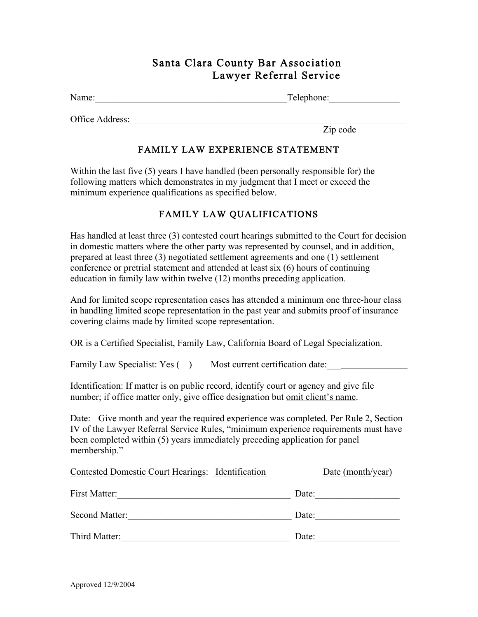## Santa Clara County Bar Association Lawyer Referral Service

Name:\_\_\_\_\_\_\_\_\_\_\_\_\_\_\_\_\_\_\_\_\_\_\_\_\_\_\_\_\_\_\_\_\_\_\_\_\_\_\_\_\_Telephone:\_\_\_\_\_\_\_\_\_\_\_\_\_\_\_

Office Address:

Zip code

## FAMILY LAW EXPERIENCE STATEMENT

Within the last five (5) years I have handled (been personally responsible for) the following matters which demonstrates in my judgment that I meet or exceed the minimum experience qualifications as specified below.

## FAMILY LAW QUALIFICATIONS

Has handled at least three (3) contested court hearings submitted to the Court for decision in domestic matters where the other party was represented by counsel, and in addition, prepared at least three (3) negotiated settlement agreements and one (1) settlement conference or pretrial statement and attended at least six (6) hours of continuing education in family law within twelve (12) months preceding application.

And for limited scope representation cases has attended a minimum one three-hour class in handling limited scope representation in the past year and submits proof of insurance covering claims made by limited scope representation.

OR is a Certified Specialist, Family Law, California Board of Legal Specialization.

Family Law Specialist: Yes () Most current certification date:

Identification: If matter is on public record, identify court or agency and give file number; if office matter only, give office designation but <u>omit client's name</u>.

Date: Give month and year the required experience was completed. Per Rule 2, Section IV of the Lawyer Referral Service Rules, "minimum experience requirements must have been completed within (5) years immediately preceding application for panel membership."

| <b>Contested Domestic Court Hearings: Identification</b> | Date (month/year) |
|----------------------------------------------------------|-------------------|
| First Matter:                                            | Date:             |
| Second Matter:                                           | Date:             |
| Third Matter:                                            | Date:             |